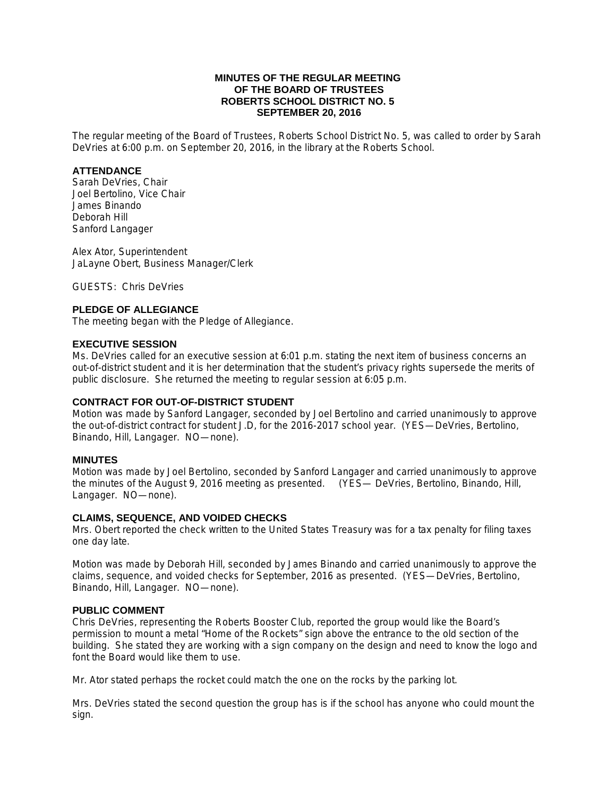# **MINUTES OF THE REGULAR MEETING OF THE BOARD OF TRUSTEES ROBERTS SCHOOL DISTRICT NO. 5 SEPTEMBER 20, 2016**

The regular meeting of the Board of Trustees, Roberts School District No. 5, was called to order by Sarah DeVries at 6:00 p.m. on September 20, 2016, in the library at the Roberts School.

# **ATTENDANCE**

Sarah DeVries, Chair Joel Bertolino, Vice Chair James Binando Deborah Hill Sanford Langager

Alex Ator, Superintendent JaLayne Obert, Business Manager/Clerk

GUESTS: Chris DeVries

# **PLEDGE OF ALLEGIANCE**

The meeting began with the Pledge of Allegiance.

#### **EXECUTIVE SESSION**

Ms. DeVries called for an executive session at 6:01 p.m. stating the next item of business concerns an out-of-district student and it is her determination that the student's privacy rights supersede the merits of public disclosure. She returned the meeting to regular session at 6:05 p.m.

#### **CONTRACT FOR OUT-OF-DISTRICT STUDENT**

Motion was made by Sanford Langager, seconded by Joel Bertolino and carried unanimously to approve the out-of-district contract for student J.D, for the 2016-2017 school year. (YES—DeVries, Bertolino, Binando, Hill, Langager. NO—none).

#### **MINUTES**

Motion was made by Joel Bertolino, seconded by Sanford Langager and carried unanimously to approve the minutes of the August 9, 2016 meeting as presented. (YES— DeVries, Bertolino, Binando, Hill, Langager. NO—none).

# **CLAIMS, SEQUENCE, AND VOIDED CHECKS**

Mrs. Obert reported the check written to the United States Treasury was for a tax penalty for filing taxes one day late.

Motion was made by Deborah Hill, seconded by James Binando and carried unanimously to approve the claims, sequence, and voided checks for September, 2016 as presented. (YES—DeVries, Bertolino, Binando, Hill, Langager. NO—none).

#### **PUBLIC COMMENT**

Chris DeVries, representing the Roberts Booster Club, reported the group would like the Board's permission to mount a metal "Home of the Rockets" sign above the entrance to the old section of the building. She stated they are working with a sign company on the design and need to know the logo and font the Board would like them to use.

Mr. Ator stated perhaps the rocket could match the one on the rocks by the parking lot.

Mrs. DeVries stated the second question the group has is if the school has anyone who could mount the sign.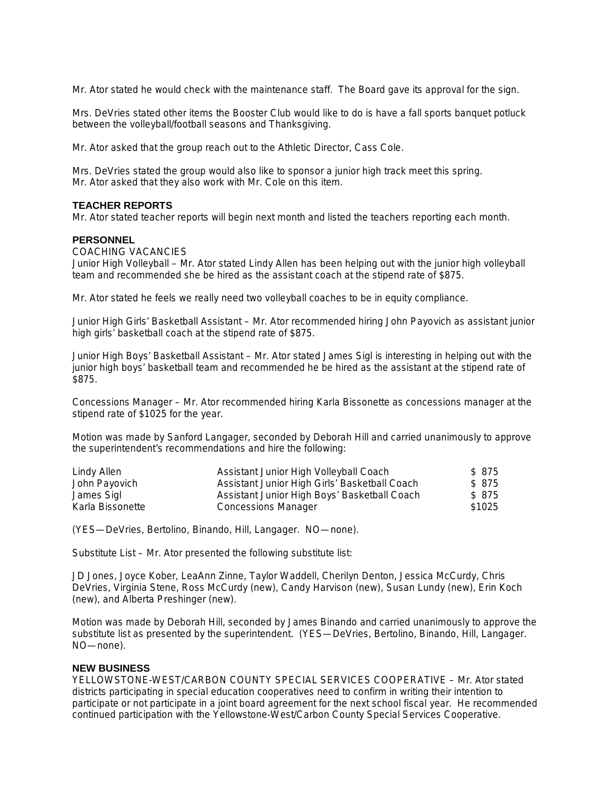Mr. Ator stated he would check with the maintenance staff. The Board gave its approval for the sign.

Mrs. DeVries stated other items the Booster Club would like to do is have a fall sports banquet potluck between the volleyball/football seasons and Thanksgiving.

Mr. Ator asked that the group reach out to the Athletic Director, Cass Cole.

Mrs. DeVries stated the group would also like to sponsor a junior high track meet this spring. Mr. Ator asked that they also work with Mr. Cole on this item.

#### **TEACHER REPORTS**

Mr. Ator stated teacher reports will begin next month and listed the teachers reporting each month.

#### **PERSONNEL**

#### COACHING VACANCIES

Junior High Volleyball – Mr. Ator stated Lindy Allen has been helping out with the junior high volleyball team and recommended she be hired as the assistant coach at the stipend rate of \$875.

Mr. Ator stated he feels we really need two volleyball coaches to be in equity compliance.

Junior High Girls' Basketball Assistant – Mr. Ator recommended hiring John Payovich as assistant junior high girls' basketball coach at the stipend rate of \$875.

Junior High Boys' Basketball Assistant – Mr. Ator stated James Sigl is interesting in helping out with the junior high boys' basketball team and recommended he be hired as the assistant at the stipend rate of \$875.

Concessions Manager – Mr. Ator recommended hiring Karla Bissonette as concessions manager at the stipend rate of \$1025 for the year.

Motion was made by Sanford Langager, seconded by Deborah Hill and carried unanimously to approve the superintendent's recommendations and hire the following:

| Lindy Allen      | Assistant Junior High Volleyball Coach        | \$875  |
|------------------|-----------------------------------------------|--------|
| John Payovich    | Assistant Junior High Girls' Basketball Coach | \$875  |
| James Sigl       | Assistant Junior High Boys' Basketball Coach  | \$875  |
| Karla Bissonette | <b>Concessions Manager</b>                    | \$1025 |

(YES—DeVries, Bertolino, Binando, Hill, Langager. NO—none).

Substitute List – Mr. Ator presented the following substitute list:

JD Jones, Joyce Kober, LeaAnn Zinne, Taylor Waddell, Cherilyn Denton, Jessica McCurdy, Chris DeVries, Virginia Stene, Ross McCurdy (new), Candy Harvison (new), Susan Lundy (new), Erin Koch (new), and Alberta Preshinger (new).

Motion was made by Deborah Hill, seconded by James Binando and carried unanimously to approve the substitute list as presented by the superintendent. (YES—DeVries, Bertolino, Binando, Hill, Langager. NO—none).

#### **NEW BUSINESS**

YELLOWSTONE-WEST/CARBON COUNTY SPECIAL SERVICES COOPERATIVE – Mr. Ator stated districts participating in special education cooperatives need to confirm in writing their intention to participate or not participate in a joint board agreement for the next school fiscal year. He recommended continued participation with the Yellowstone-West/Carbon County Special Services Cooperative.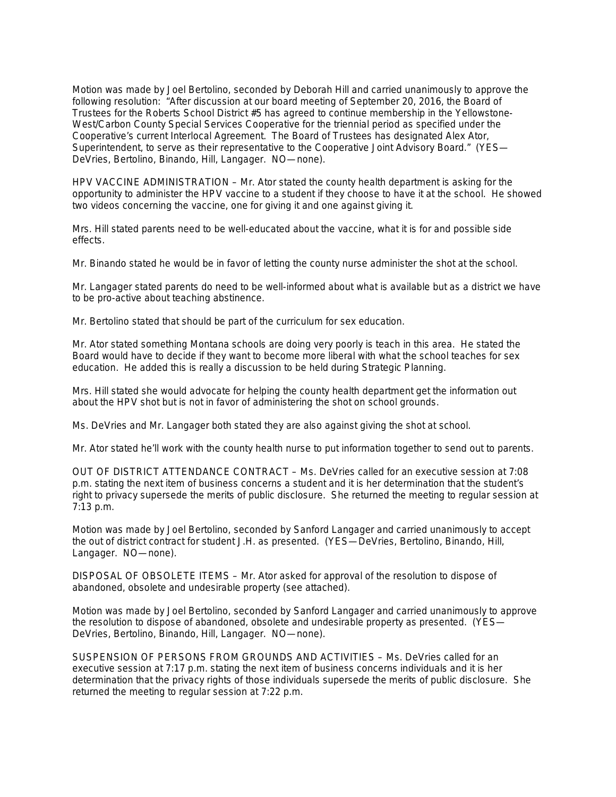Motion was made by Joel Bertolino, seconded by Deborah Hill and carried unanimously to approve the following resolution: "After discussion at our board meeting of September 20, 2016, the Board of Trustees for the Roberts School District #5 has agreed to continue membership in the Yellowstone-West/Carbon County Special Services Cooperative for the triennial period as specified under the Cooperative's current Interlocal Agreement. The Board of Trustees has designated Alex Ator, Superintendent, to serve as their representative to the Cooperative Joint Advisory Board." (YES— DeVries, Bertolino, Binando, Hill, Langager. NO—none).

HPV VACCINE ADMINISTRATION – Mr. Ator stated the county health department is asking for the opportunity to administer the HPV vaccine to a student if they choose to have it at the school. He showed two videos concerning the vaccine, one for giving it and one against giving it.

Mrs. Hill stated parents need to be well-educated about the vaccine, what it is for and possible side effects.

Mr. Binando stated he would be in favor of letting the county nurse administer the shot at the school.

Mr. Langager stated parents do need to be well-informed about what is available but as a district we have to be pro-active about teaching abstinence.

Mr. Bertolino stated that should be part of the curriculum for sex education.

Mr. Ator stated something Montana schools are doing very poorly is teach in this area. He stated the Board would have to decide if they want to become more liberal with what the school teaches for sex education. He added this is really a discussion to be held during Strategic Planning.

Mrs. Hill stated she would advocate for helping the county health department get the information out about the HPV shot but is not in favor of administering the shot on school grounds.

Ms. DeVries and Mr. Langager both stated they are also against giving the shot at school.

Mr. Ator stated he'll work with the county health nurse to put information together to send out to parents.

OUT OF DISTRICT ATTENDANCE CONTRACT – Ms. DeVries called for an executive session at 7:08 p.m. stating the next item of business concerns a student and it is her determination that the student's right to privacy supersede the merits of public disclosure. She returned the meeting to regular session at 7:13 p.m.

Motion was made by Joel Bertolino, seconded by Sanford Langager and carried unanimously to accept the out of district contract for student J.H. as presented. (YES—DeVries, Bertolino, Binando, Hill, Langager. NO—none).

DISPOSAL OF OBSOLETE ITEMS – Mr. Ator asked for approval of the resolution to dispose of abandoned, obsolete and undesirable property (see attached).

Motion was made by Joel Bertolino, seconded by Sanford Langager and carried unanimously to approve the resolution to dispose of abandoned, obsolete and undesirable property as presented. (YES— DeVries, Bertolino, Binando, Hill, Langager. NO—none).

SUSPENSION OF PERSONS FROM GROUNDS AND ACTIVITIES – Ms. DeVries called for an executive session at 7:17 p.m. stating the next item of business concerns individuals and it is her determination that the privacy rights of those individuals supersede the merits of public disclosure. She returned the meeting to regular session at 7:22 p.m.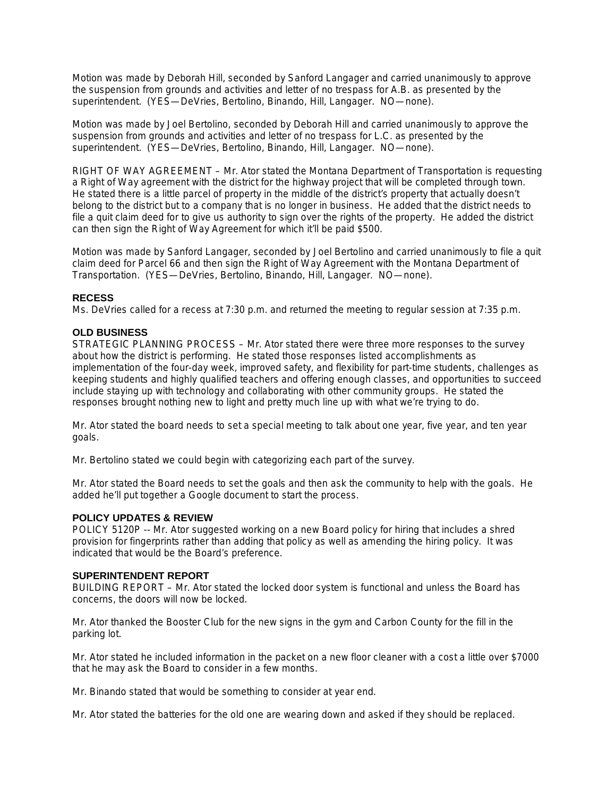Motion was made by Deborah Hill, seconded by Sanford Langager and carried unanimously to approve the suspension from grounds and activities and letter of no trespass for A.B. as presented by the superintendent. (YES—DeVries, Bertolino, Binando, Hill, Langager. NO—none).

Motion was made by Joel Bertolino, seconded by Deborah Hill and carried unanimously to approve the suspension from grounds and activities and letter of no trespass for L.C. as presented by the superintendent. (YES—DeVries, Bertolino, Binando, Hill, Langager. NO—none).

RIGHT OF WAY AGREEMENT – Mr. Ator stated the Montana Department of Transportation is requesting a Right of Way agreement with the district for the highway project that will be completed through town. He stated there is a little parcel of property in the middle of the district's property that actually doesn't belong to the district but to a company that is no longer in business. He added that the district needs to file a quit claim deed for to give us authority to sign over the rights of the property. He added the district can then sign the Right of Way Agreement for which it'll be paid \$500.

Motion was made by Sanford Langager, seconded by Joel Bertolino and carried unanimously to file a quit claim deed for Parcel 66 and then sign the Right of Way Agreement with the Montana Department of Transportation. (YES—DeVries, Bertolino, Binando, Hill, Langager. NO—none).

# **RECESS**

Ms. DeVries called for a recess at 7:30 p.m. and returned the meeting to regular session at 7:35 p.m.

# **OLD BUSINESS**

STRATEGIC PLANNING PROCESS – Mr. Ator stated there were three more responses to the survey about how the district is performing. He stated those responses listed accomplishments as implementation of the four-day week, improved safety, and flexibility for part-time students, challenges as keeping students and highly qualified teachers and offering enough classes, and opportunities to succeed include staying up with technology and collaborating with other community groups. He stated the responses brought nothing new to light and pretty much line up with what we're trying to do.

Mr. Ator stated the board needs to set a special meeting to talk about one year, five year, and ten year goals.

Mr. Bertolino stated we could begin with categorizing each part of the survey.

Mr. Ator stated the Board needs to set the goals and then ask the community to help with the goals. He added he'll put together a Google document to start the process.

# **POLICY UPDATES & REVIEW**

POLICY 5120P -- Mr. Ator suggested working on a new Board policy for hiring that includes a shred provision for fingerprints rather than adding that policy as well as amending the hiring policy. It was indicated that would be the Board's preference.

# **SUPERINTENDENT REPORT**

BUILDING REPORT – Mr. Ator stated the locked door system is functional and unless the Board has concerns, the doors will now be locked.

Mr. Ator thanked the Booster Club for the new signs in the gym and Carbon County for the fill in the parking lot.

Mr. Ator stated he included information in the packet on a new floor cleaner with a cost a little over \$7000 that he may ask the Board to consider in a few months.

Mr. Binando stated that would be something to consider at year end.

Mr. Ator stated the batteries for the old one are wearing down and asked if they should be replaced.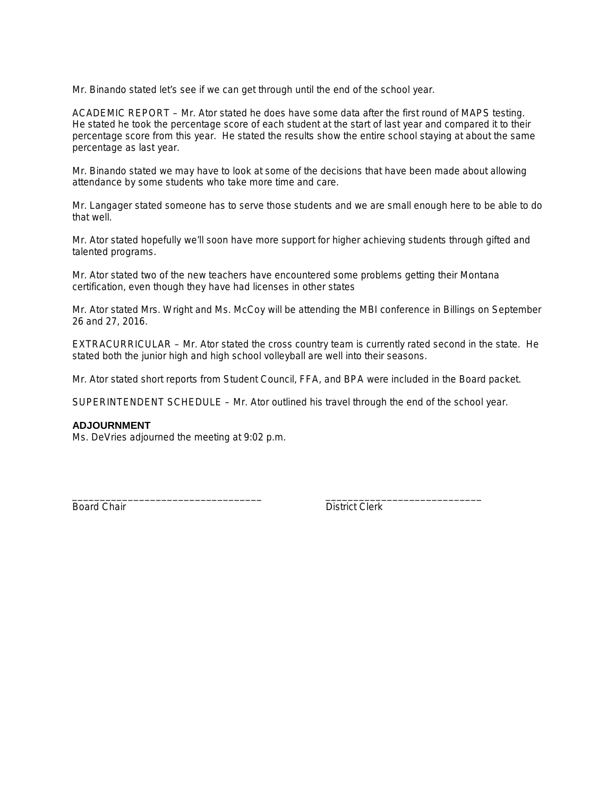Mr. Binando stated let's see if we can get through until the end of the school year.

ACADEMIC REPORT – Mr. Ator stated he does have some data after the first round of MAPS testing. He stated he took the percentage score of each student at the start of last year and compared it to their percentage score from this year. He stated the results show the entire school staying at about the same percentage as last year.

Mr. Binando stated we may have to look at some of the decisions that have been made about allowing attendance by some students who take more time and care.

Mr. Langager stated someone has to serve those students and we are small enough here to be able to do that well.

Mr. Ator stated hopefully we'll soon have more support for higher achieving students through gifted and talented programs.

Mr. Ator stated two of the new teachers have encountered some problems getting their Montana certification, even though they have had licenses in other states

Mr. Ator stated Mrs. Wright and Ms. McCoy will be attending the MBI conference in Billings on September 26 and 27, 2016.

EXTRACURRICULAR – Mr. Ator stated the cross country team is currently rated second in the state. He stated both the junior high and high school volleyball are well into their seasons.

Mr. Ator stated short reports from Student Council, FFA, and BPA were included in the Board packet.

SUPERINTENDENT SCHEDULE – Mr. Ator outlined his travel through the end of the school year.

\_\_\_\_\_\_\_\_\_\_\_\_\_\_\_\_\_\_\_\_\_\_\_\_\_\_\_\_\_\_\_\_\_\_ \_\_\_\_\_\_\_\_\_\_\_\_\_\_\_\_\_\_\_\_\_\_\_\_\_\_\_\_

#### **ADJOURNMENT**

Ms. DeVries adjourned the meeting at 9:02 p.m.

Board Chair **District Clerk**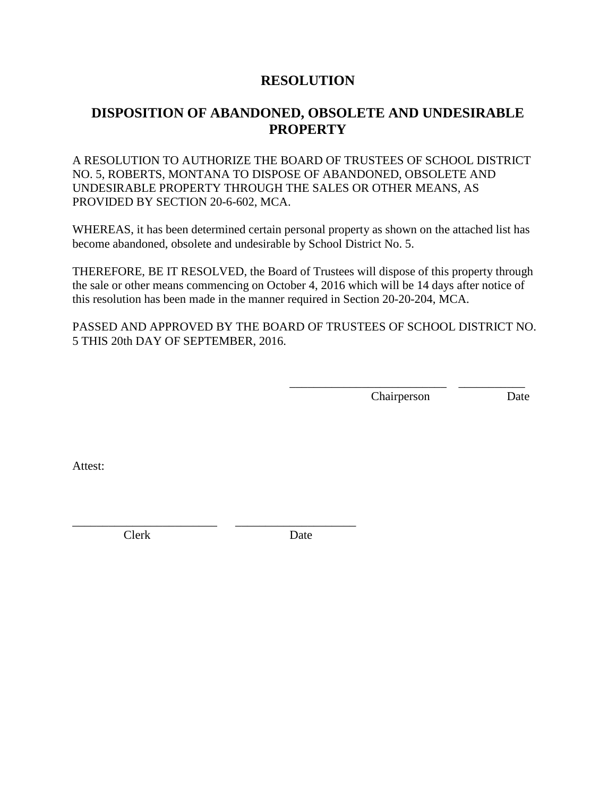# **RESOLUTION**

# **DISPOSITION OF ABANDONED, OBSOLETE AND UNDESIRABLE PROPERTY**

A RESOLUTION TO AUTHORIZE THE BOARD OF TRUSTEES OF SCHOOL DISTRICT NO. 5, ROBERTS, MONTANA TO DISPOSE OF ABANDONED, OBSOLETE AND UNDESIRABLE PROPERTY THROUGH THE SALES OR OTHER MEANS, AS PROVIDED BY SECTION 20-6-602, MCA.

WHEREAS, it has been determined certain personal property as shown on the attached list has become abandoned, obsolete and undesirable by School District No. 5.

THEREFORE, BE IT RESOLVED, the Board of Trustees will dispose of this property through the sale or other means commencing on October 4, 2016 which will be 14 days after notice of this resolution has been made in the manner required in Section 20-20-204, MCA.

PASSED AND APPROVED BY THE BOARD OF TRUSTEES OF SCHOOL DISTRICT NO. 5 THIS 20th DAY OF SEPTEMBER, 2016.

> \_\_\_\_\_\_\_\_\_\_\_\_\_\_\_\_\_\_\_\_\_\_\_\_\_\_ \_\_\_\_\_\_\_\_\_\_\_ Chairperson Date

Attest:

Clerk Date

\_\_\_\_\_\_\_\_\_\_\_\_\_\_\_\_\_\_\_\_\_\_\_\_ \_\_\_\_\_\_\_\_\_\_\_\_\_\_\_\_\_\_\_\_